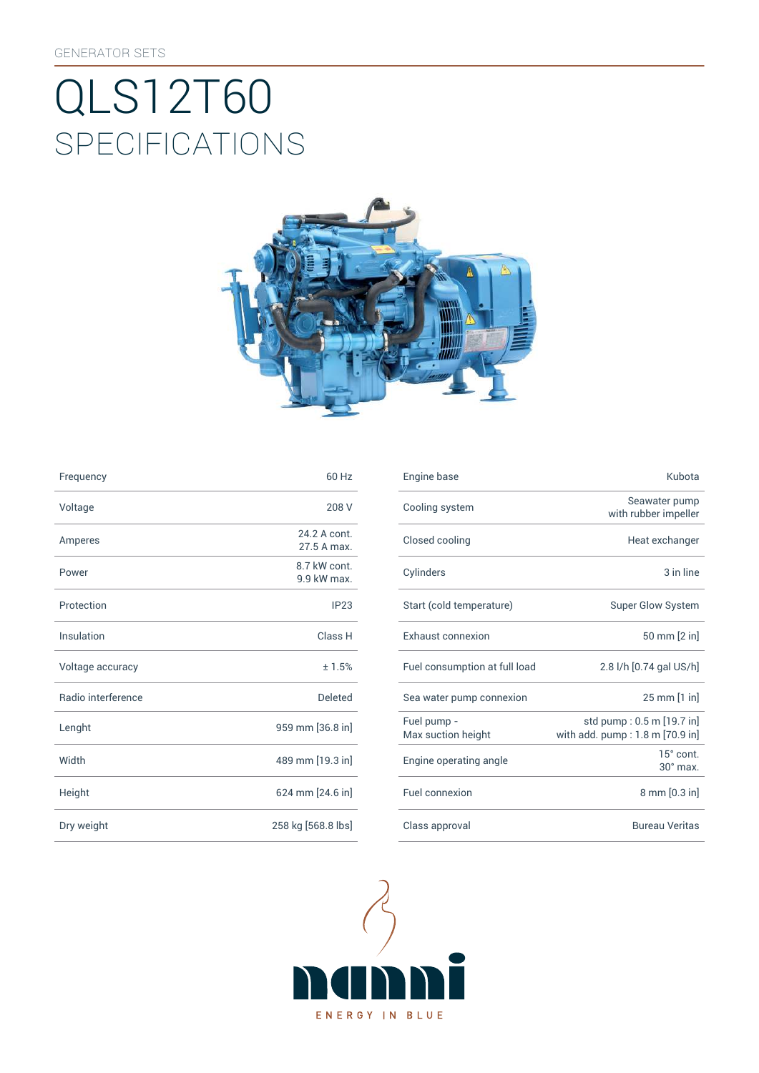# SpEcificATiONS QLS12T60



| Frequency          | 60 Hz                       | Engine base                |
|--------------------|-----------------------------|----------------------------|
| Voltage            | 208 V                       | Cooling syst               |
| Amperes            | 24.2 A cont.<br>27.5 A max. | Closed cooli               |
| Power              | 8.7 kW cont.<br>9.9 kW max. | Cylinders                  |
| Protection         | IP23                        | Start (cold te             |
| Insulation         | Class H                     | Exhaust con                |
| Voltage accuracy   | ±1.5%                       | Fuel consum                |
| Radio interference | <b>Deleted</b>              | Sea water pu               |
| Lenght             | 959 mm [36.8 in]            | Fuel pump -<br>Max suction |
| Width              | 489 mm [19.3 in]            | Engine opera               |
| Height             | 624 mm [24.6 in]            | Fuel connexi               |
| Dry weight         | 258 kg [568.8 lbs]          | Class approv               |

| Frequency          | 60 Hz                       | Engine base                       | Kubota                                                       |
|--------------------|-----------------------------|-----------------------------------|--------------------------------------------------------------|
| Voltage            | 208 V                       | Cooling system                    | Seawater pump<br>with rubber impeller                        |
| Amperes            | 24.2 A cont.<br>27.5 A max. | Closed cooling                    | Heat exchanger                                               |
| Power              | 8.7 kW cont.<br>9.9 kW max. | Cylinders                         | 3 in line                                                    |
| Protection         | IP23                        | Start (cold temperature)          | Super Glow System                                            |
| Insulation         | Class H                     | Exhaust connexion                 | 50 mm [2 in]                                                 |
| Voltage accuracy   | ±1.5%                       | Fuel consumption at full load     | 2.8 l/h [0.74 gal US/h]                                      |
| Radio interference | Deleted                     | Sea water pump connexion          | $25 \, \text{mm}$ [1 in]                                     |
| Lenght             | 959 mm [36.8 in]            | Fuel pump -<br>Max suction height | std pump: 0.5 m [19.7 in]<br>with add. pump: 1.8 m [70.9 in] |
| Width              | 489 mm [19.3 in]            | Engine operating angle            | 15° cont.<br>$30^\circ$ max.                                 |
| Height             | 624 mm [24.6 in]            | Fuel connexion                    | 8 mm [0.3 in]                                                |
| Dry weight         | 258 kg [568.8 lbs]          | Class approval                    | <b>Bureau Veritas</b>                                        |